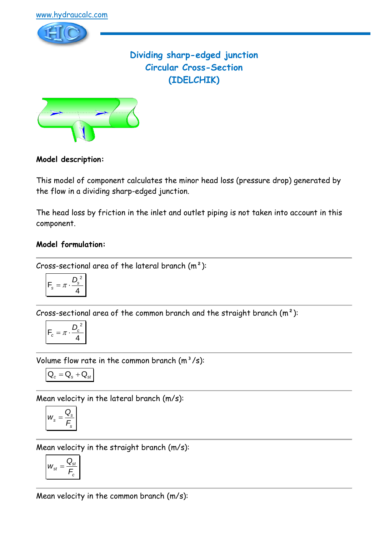

**Dividing sharp-edged junction Circular Cross-Section (IDELCHIK)**



# **Model description:**

This model of component calculates the minor head loss (pressure drop) generated by the flow in a dividing sharp-edged junction.

The head loss by friction in the inlet and outlet piping is not taken into account in this component.

# **Model formulation:**

Cross-sectional area of the lateral branch  $(m<sup>2</sup>)$ :

$$
F_s = \pi \cdot \frac{D_s^2}{4}
$$

Cross-sectional area of the common branch and the straight branch  $(m<sup>2</sup>)$ :

$$
\left| \mathsf{F}_c = \pi \cdot \frac{D_c^2}{4} \right|
$$

Volume flow rate in the common branch  $(m^3/s)$ :

$$
\boxed{\textbf{Q}_{c}=\textbf{Q}_{s}+\textbf{Q}_{st}}
$$

Mean velocity in the lateral branch (m/s):

$$
W_s = \frac{Q_s}{F_s}
$$

Mean velocity in the straight branch (m/s):

$$
W_{st} = \frac{Q_{st}}{F_c}
$$

Mean velocity in the common branch (m/s):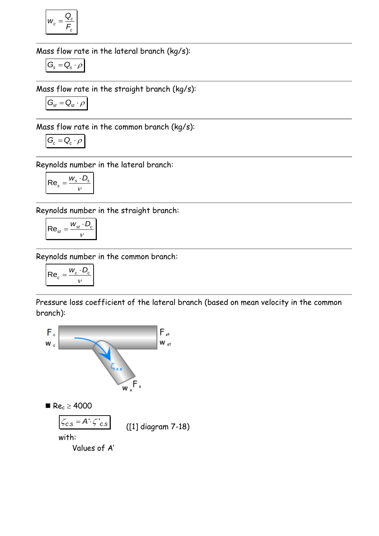$$
W_c = \frac{Q_c}{F_c}
$$

Mass flow rate in the lateral branch (kg/s):

$$
G_{\!s} = Q_{\!s} \cdot \rho
$$

Mass flow rate in the straight branch (kg/s):

$$
G_{\text{st}}=Q_{\text{st}}\cdot\rho
$$

Mass flow rate in the common branch (kg/s):

$$
G_c = Q_c \cdot \rho
$$

Reynolds number in the lateral branch:

$$
\mathsf{Re}_s = \frac{W_s \cdot D_s}{V}
$$

Reynolds number in the straight branch:

$$
\mathsf{Re}_{\mathsf{st}} = \frac{w_{\mathsf{st}} \cdot D_{\mathsf{c}}}{v}
$$

Reynolds number in the common branch:

$$
\mathsf{Re}_c = \frac{w_c \cdot D_c}{v}
$$

Pressure loss coefficient of the lateral branch (based on mean velocity in the common branch):

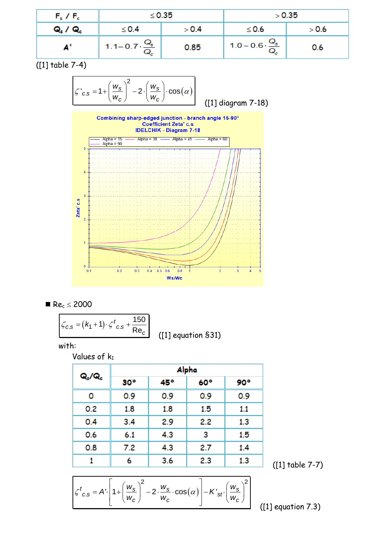| $F_s$ / $F_c$  |                                   | $\leq$ 0.35 |                                   | > 0.35 |
|----------------|-----------------------------------|-------------|-----------------------------------|--------|
| <b>Q. / Q.</b> | $\leq 0.4$                        | > 0.4       | $\leq 0.6$                        | > 0.6  |
|                | $1.1 - 0.7 \cdot \frac{Q_s}{Q_c}$ | 0.85        | $1.0 - 0.6 \cdot \frac{Q_s}{Q_c}$ | 0.6    |

([1] table 7-4)

$$
\zeta'_{c.s} = 1 + \left(\frac{w_s}{w_c}\right)^2 - 2 \cdot \left(\frac{w_s}{w_c}\right) \cdot \cos(\alpha)
$$

([1] diagram 7-18)



$$
\blacksquare\ Re_c\leq 2000
$$

$$
\zeta_{c.s} = (k_1 + 1) \cdot \zeta_{c.s}^t + \frac{150}{Re_c}
$$

([1] equation §31)

with:

Values of  $k_1$ 

| Q./Q. | Alpha        |     |     |     |
|-------|--------------|-----|-----|-----|
|       | $30^{\circ}$ | 45° | 60° | 90° |
| o     | 0.9          | 0.9 | 0.9 | 0.9 |
| 0.2   | 1.8          | 1.8 | 1.5 | 1.1 |
| 0.4   | 3.4          | 2.9 | 2.2 | 1.3 |
| 0.6   | 6.1          | 4.3 | 3   | 1.5 |
| 0.8   | 7.2          | 4.3 | 2.7 | 1.4 |
|       | 6            | 3.6 | 2.3 | 1.3 |

([1] table 7-7)

$$
\mathcal{L} = \mathbf{A} \cdot \left[ 1 + \left( \frac{w_s}{w_c} \right)^2 - 2 \cdot \frac{w_s}{w_c} \cdot \cos(\alpha) \right] - K'_{st'} \left( \frac{w_s}{w_c} \right)^2
$$
 (11)

([1] equation 7.3)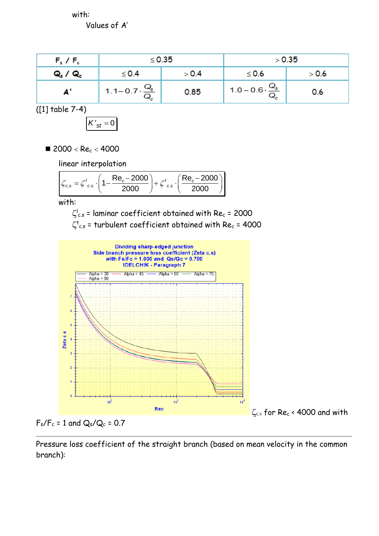with:

Values of A'

| $F_s$ / $F_c$  | $\leq$ 0.35                     |       | > 0.35                            |       |
|----------------|---------------------------------|-------|-----------------------------------|-------|
| <b>Q. / Q.</b> | $\leq 0.4$                      | > 0.4 | $\leq 0.6$                        | > 0.6 |
|                | 1.1-0.7 $\cdot \frac{Q_s}{Q_c}$ | 0.85  | $1.0 - 0.6 \cdot \frac{Q_s}{Q_c}$ | 0.6   |

([1] table 7-4)

$$
K'_{st}=0
$$

 $2000 < Re<sub>c</sub> < 4000$ 

linear interpolation

linear interpolation  

$$
\zeta_{c.s} = \zeta_{c.s}^t \cdot \left(1 - \frac{\text{Re}_c - 2000}{2000}\right) + \zeta_{c.s}^t \cdot \left(\frac{\text{Re}_c - 2000}{2000}\right)
$$

with:

 $\zeta_{c.s}^{\mathsf{I}}$  = laminar coefficient obtained with Re $_c$  = 2000  $\zeta^{\mathsf{t}}{}_{\mathsf{c.s}}$  = turbulent coefficient obtained with Re ${}_{\mathsf{c}}$  = 4000





Pressure loss coefficient of the straight branch (based on mean velocity in the common branch):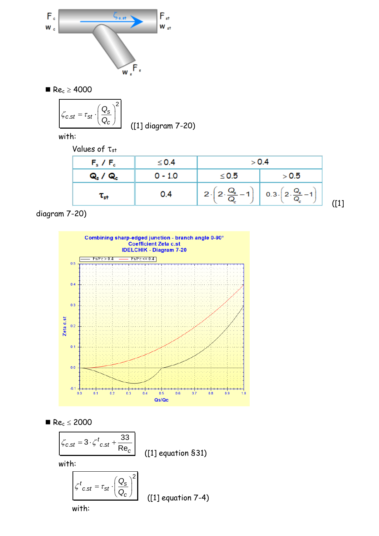

 $Re<sub>c</sub> \ge 4000$ 

$$
\zeta_{c.st} = \tau_{st} \cdot \left(\frac{Q_s}{Q_c}\right)^2
$$
 (11) diagram 7-20)

with:

Values of  $\tau_{st}$ 

| $F_s$ / $F_c$                   | $\leq$ 0.4 | > 0.4                                      |                                                                       |
|---------------------------------|------------|--------------------------------------------|-----------------------------------------------------------------------|
| <b>Q. / Q.</b>                  | $0 - 1.0$  | $\leq 0.5$                                 | > 0.5                                                                 |
| $\boldsymbol{\tau_{\text{st}}}$ | 0.4        | $2\cdot\left(2\cdot\frac{Q_s}{Q}-1\right)$ | $\left[ 0.3 \cdot \left( 2 \cdot \frac{Q_s}{Q_c} - 1 \right) \right]$ |

diagram 7-20)





$$
\begin{array}{|l|l|}\n\hline\n\zeta_{c.st} = 3 \cdot \zeta^t_{c.st} + \frac{33}{\text{Re}_c} \\
\text{mith:} & \text{(11 equation $31$)}\n\end{array}
$$

with:

$$
\mathcal{L}_{c.st}^t = \tau_{st} \cdot \left(\frac{Q_s}{Q_c}\right)^2
$$
 (11) equation 7-4)

with: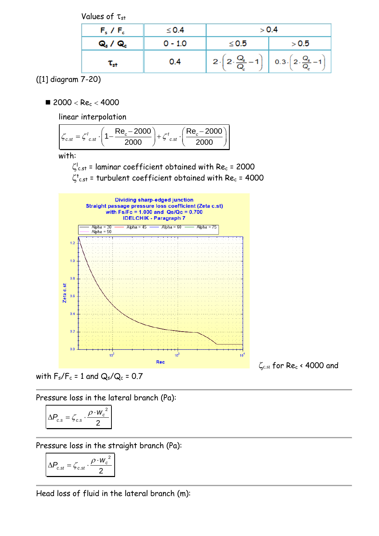Values of  $\tau_{st}$ 

| $F_s$ / $F_c$      | $\leq$ 0.4 | > 0.4                                |                                     |
|--------------------|------------|--------------------------------------|-------------------------------------|
| <b>Q. / Q.</b>     | $0 - 1.0$  | $\leq 0.5$                           | > 0.5                               |
| $\tau_{\text{st}}$ | 0.4        | $2\cdot\sqrt{2\cdot\frac{Q_s}{Q}}-1$ | $0.3\cdot 2\cdot \frac{Q_s}{Q} - 1$ |

([1] diagram 7-20)

 $\blacksquare$  2000 < Rec < 4000

linear interpolation

linear interpolation  
\n
$$
\mathcal{E}_{c.st} = \zeta_{c.st}^t \cdot \left(1 - \frac{\text{Re}_c - 2000}{2000}\right) + \zeta_{c.st}^t \cdot \left(\frac{\text{Re}_c - 2000}{2000}\right)
$$

with:

 $\zeta_{c.st}^{\text{I}}$  = laminar coefficient obtained with Re $_c$  = 2000

 $\zeta^{\sf t}_{\sf c.st}$  = turbulent coefficient obtained with Re $_{\sf c}$  = 4000



with  $F_s/F_c = 1$  and  $Q_s/Q_c = 0.7$ 

Pressure loss in the lateral branch (Pa):

$$
\Delta P_{c.s} = \zeta_{c.s} \cdot \frac{\rho \cdot w_c^2}{2}
$$

Pressure loss in the straight branch (Pa):

2  $\mathcal{L}_{c.st} = \mathcal{L}_{c.st} \cdot \frac{P_{av}}{2}$  $P_{cst} = \zeta_{cst} \cdot \frac{\rho \cdot w}{\rho}$  $\Delta P_{c.st} = \zeta_{c.st} \cdot \frac{\rho \cdot}{\rho}$ 

Head loss of fluid in the lateral branch (m):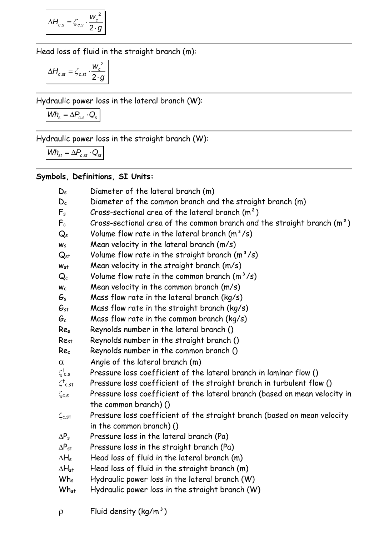$$
\Delta H_{c.s} = \zeta_{c.s} \cdot \frac{w_c^2}{2 \cdot g}
$$

Head loss of fluid in the straight branch (m):

$$
\Delta H_{c.st} = \zeta_{c.st} \cdot \frac{w_c^2}{2 \cdot g}
$$

Hydraulic power loss in the lateral branch (W):

$$
\textit{Wh}_s = \Delta P_{c.s} \cdot Q_s
$$

Hydraulic power loss in the straight branch (W):

$$
\textit{Wh}_{\text{st}} = \Delta P_{\text{c.st}} \cdot Q_{\text{st}}
$$

# **Symbols, Definitions, SI Units:**

| $D_s$                     | Diameter of the lateral branch (m)                                         |
|---------------------------|----------------------------------------------------------------------------|
| $D_c$                     | Diameter of the common branch and the straight branch (m)                  |
| $F_s$                     | Cross-sectional area of the lateral branch $(m^2)$                         |
| $F_c$                     | Cross-sectional area of the common branch and the straight branch $(m^2)$  |
| $Q_{s}$                   | Volume flow rate in the lateral branch $(m^3/s)$                           |
| $W_S$                     | Mean velocity in the lateral branch (m/s)                                  |
| $Q_{st}$                  | Volume flow rate in the straight branch $(m^3/s)$                          |
| $W_{S}$                   | Mean velocity in the straight branch $(m/s)$                               |
| $\mathsf{Q}_{\mathsf{c}}$ | Volume flow rate in the common branch $(m^3/s)$                            |
| $W_c$                     | Mean velocity in the common branch $(m/s)$                                 |
| $G_{S}$                   | Mass flow rate in the lateral branch ( $kg/s$ )                            |
| $G_{\textrm{st}}$         | Mass flow rate in the straight branch ( $kg/s$ )                           |
| $G_c$                     | Mass flow rate in the common branch ( $kg/s$ )                             |
| Res                       | Reynolds number in the lateral branch ()                                   |
| $Re_{st}$                 | Reynolds number in the straight branch ()                                  |
| Re <sub>c</sub>           | Reynolds number in the common branch ()                                    |
| $\alpha$                  | Angle of the lateral branch (m)                                            |
| $\zeta _{\rm c.s}$        | Pressure loss coefficient of the lateral branch in laminar flow ()         |
| $\zeta^\dagger$ c.st      | Pressure loss coefficient of the straight branch in turbulent flow ()      |
| $\zeta_{c,s}$             | Pressure loss coefficient of the lateral branch (based on mean velocity in |
|                           | the common branch) ()                                                      |
| $\zeta$ c.st              | Pressure loss coefficient of the straight branch (based on mean velocity   |
|                           | in the common branch) ()                                                   |
| $\Delta P_s$              | Pressure loss in the lateral branch (Pa)                                   |
| $\Delta P_{st}$           | Pressure loss in the straight branch (Pa)                                  |
| $\Delta H_s$              | Head loss of fluid in the lateral branch (m)                               |
| $\Delta H_{\rm st}$       | Head loss of fluid in the straight branch (m)                              |
| $Wh_s$                    | Hydraulic power loss in the lateral branch (W)                             |
| $Wh_{st}$                 | Hydraulic power loss in the straight branch $(W)$                          |

 $\rho$  Fluid density (kg/m<sup>3</sup>)